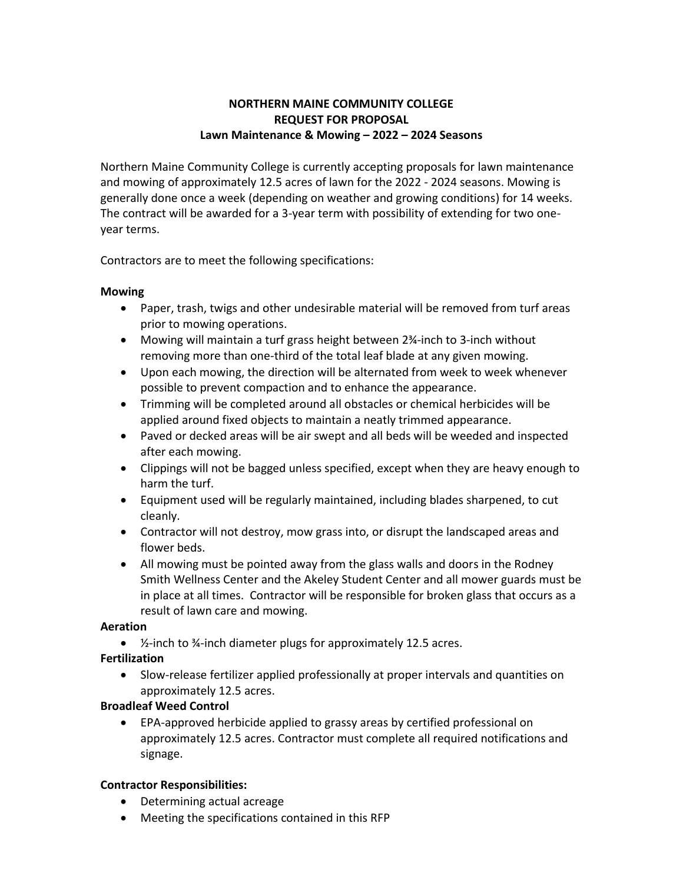# **NORTHERN MAINE COMMUNITY COLLEGE REQUEST FOR PROPOSAL Lawn Maintenance & Mowing – 2022 – 2024 Seasons**

Northern Maine Community College is currently accepting proposals for lawn maintenance and mowing of approximately 12.5 acres of lawn for the 2022 - 2024 seasons. Mowing is generally done once a week (depending on weather and growing conditions) for 14 weeks. The contract will be awarded for a 3-year term with possibility of extending for two oneyear terms.

Contractors are to meet the following specifications:

# **Mowing**

- Paper, trash, twigs and other undesirable material will be removed from turf areas prior to mowing operations.
- Mowing will maintain a turf grass height between 2¼-inch to 3-inch without removing more than one-third of the total leaf blade at any given mowing.
- Upon each mowing, the direction will be alternated from week to week whenever possible to prevent compaction and to enhance the appearance.
- Trimming will be completed around all obstacles or chemical herbicides will be applied around fixed objects to maintain a neatly trimmed appearance.
- Paved or decked areas will be air swept and all beds will be weeded and inspected after each mowing.
- Clippings will not be bagged unless specified, except when they are heavy enough to harm the turf.
- Equipment used will be regularly maintained, including blades sharpened, to cut cleanly.
- Contractor will not destroy, mow grass into, or disrupt the landscaped areas and flower beds.
- All mowing must be pointed away from the glass walls and doors in the Rodney Smith Wellness Center and the Akeley Student Center and all mower guards must be in place at all times. Contractor will be responsible for broken glass that occurs as a result of lawn care and mowing.

# **Aeration**

• ½-inch to ¾-inch diameter plugs for approximately 12.5 acres.

# **Fertilization**

• Slow-release fertilizer applied professionally at proper intervals and quantities on approximately 12.5 acres.

# **Broadleaf Weed Control**

• EPA-approved herbicide applied to grassy areas by certified professional on approximately 12.5 acres. Contractor must complete all required notifications and signage.

# **Contractor Responsibilities:**

- Determining actual acreage
- Meeting the specifications contained in this RFP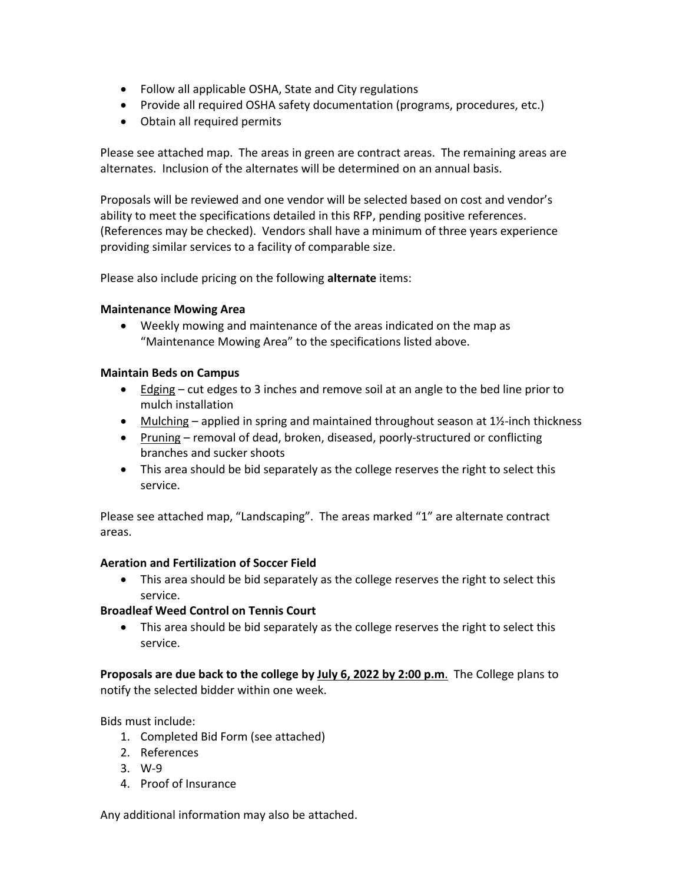- Follow all applicable OSHA, State and City regulations
- Provide all required OSHA safety documentation (programs, procedures, etc.)
- Obtain all required permits

Please see attached map. The areas in green are contract areas. The remaining areas are alternates. Inclusion of the alternates will be determined on an annual basis.

Proposals will be reviewed and one vendor will be selected based on cost and vendor's ability to meet the specifications detailed in this RFP, pending positive references. (References may be checked). Vendors shall have a minimum of three years experience providing similar services to a facility of comparable size.

Please also include pricing on the following **alternate** items:

### **Maintenance Mowing Area**

• Weekly mowing and maintenance of the areas indicated on the map as "Maintenance Mowing Area" to the specifications listed above.

### **Maintain Beds on Campus**

- Edging  $-$  cut edges to 3 inches and remove soil at an angle to the bed line prior to mulch installation
- Mulching applied in spring and maintained throughout season at  $1\frac{1}{2}$ -inch thickness
- Pruning removal of dead, broken, diseased, poorly-structured or conflicting branches and sucker shoots
- This area should be bid separately as the college reserves the right to select this service.

Please see attached map, "Landscaping". The areas marked "1" are alternate contract areas.

#### **Aeration and Fertilization of Soccer Field**

• This area should be bid separately as the college reserves the right to select this service.

# **Broadleaf Weed Control on Tennis Court**

• This area should be bid separately as the college reserves the right to select this service.

**Proposals are due back to the college by July 6, 2022 by 2:00 p.m**. The College plans to notify the selected bidder within one week.

Bids must include:

- 1. Completed Bid Form (see attached)
- 2. References
- 3. W-9
- 4. Proof of Insurance

Any additional information may also be attached.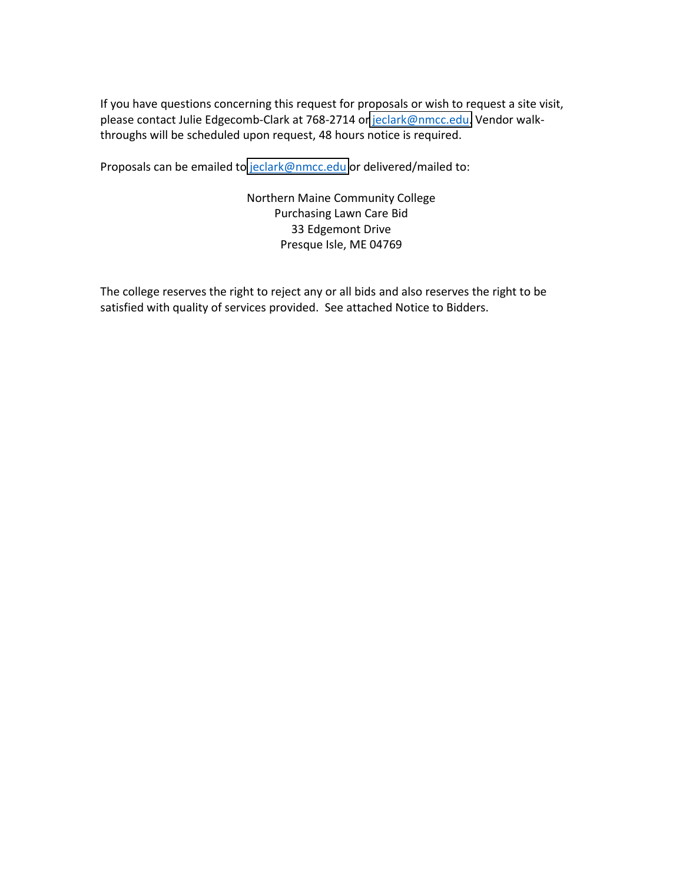If you have questions concerning this request for proposals or wish to request a site visit, please contact Julie Edgecomb-Clark at 768-2714 or [jeclark@nmcc.edu.](mailto:jeclark@nmcc.edu) Vendor walkthroughs will be scheduled upon request, 48 hours notice is required.

Proposals can be emailed to [jeclark@nmcc.edu](mailto:jeclark@nmcc.edu) or delivered/mailed to:

Northern Maine Community College Purchasing Lawn Care Bid 33 Edgemont Drive Presque Isle, ME 04769

The college reserves the right to reject any or all bids and also reserves the right to be satisfied with quality of services provided. See attached Notice to Bidders.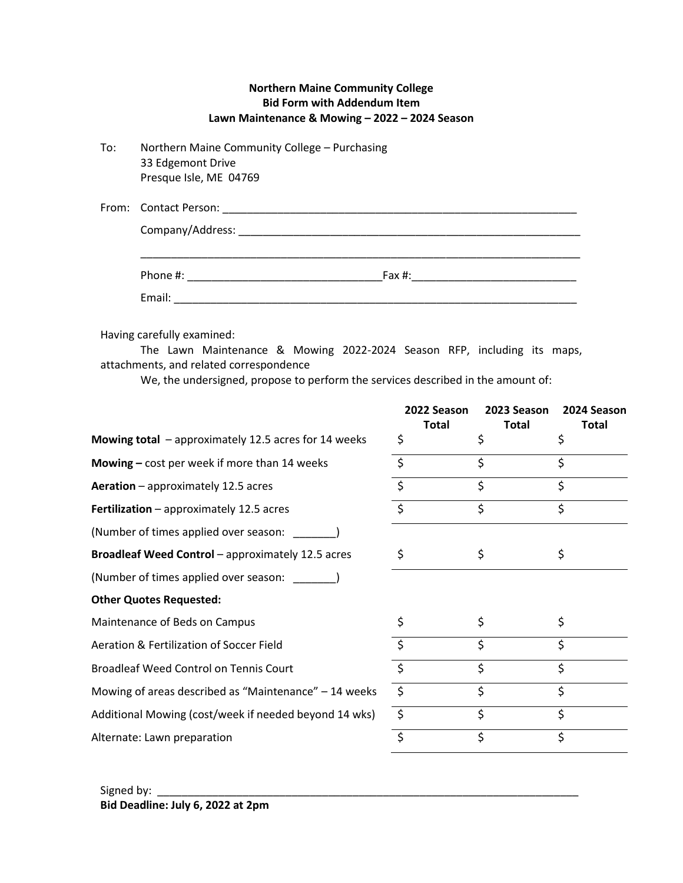| <b>Northern Maine Community College</b>        |
|------------------------------------------------|
| <b>Bid Form with Addendum Item</b>             |
| Lawn Maintenance & Mowing - 2022 - 2024 Season |

| To: | Northern Maine Community College - Purchasing |  |  |  |
|-----|-----------------------------------------------|--|--|--|
|     | 33 Edgemont Drive                             |  |  |  |
|     | Presque Isle, ME 04769                        |  |  |  |

| From: Contact Person: |
|-----------------------|
| Company/Address:      |
|                       |

| Phone #: | Fax #: |
|----------|--------|
| Email:   |        |

Having carefully examined:

The Lawn Maintenance & Mowing 2022-2024 Season RFP, including its maps, attachments, and related correspondence

We, the undersigned, propose to perform the services described in the amount of:

|                                                       | 2022 Season<br><b>Total</b> | 2023 Season        | 2024 Season  |
|-------------------------------------------------------|-----------------------------|--------------------|--------------|
| Mowing total - approximately 12.5 acres for 14 weeks  | \$                          | <b>Total</b><br>\$ | <b>Total</b> |
| <b>Mowing</b> $-$ cost per week if more than 14 weeks | \$                          | \$                 | \$           |
| Aeration - approximately 12.5 acres                   | \$                          | \$                 | \$           |
| <b>Fertilization</b> $-$ approximately 12.5 acres     | \$                          | \$                 | \$           |
| (Number of times applied over season:                 |                             |                    |              |
| Broadleaf Weed Control - approximately 12.5 acres     | \$                          | \$                 | \$           |
| (Number of times applied over season:                 |                             |                    |              |
| <b>Other Quotes Requested:</b>                        |                             |                    |              |
| Maintenance of Beds on Campus                         |                             | \$                 | \$           |
| Aeration & Fertilization of Soccer Field              |                             | \$                 | \$           |
| Broadleaf Weed Control on Tennis Court                | \$                          | \$                 | Ś            |
| Mowing of areas described as "Maintenance" - 14 weeks | $\zeta$                     | \$                 | \$           |
| Additional Mowing (cost/week if needed beyond 14 wks) | $\zeta$                     | \$                 | \$           |
| Alternate: Lawn preparation                           | \$                          | \$                 | \$           |
|                                                       |                             |                    |              |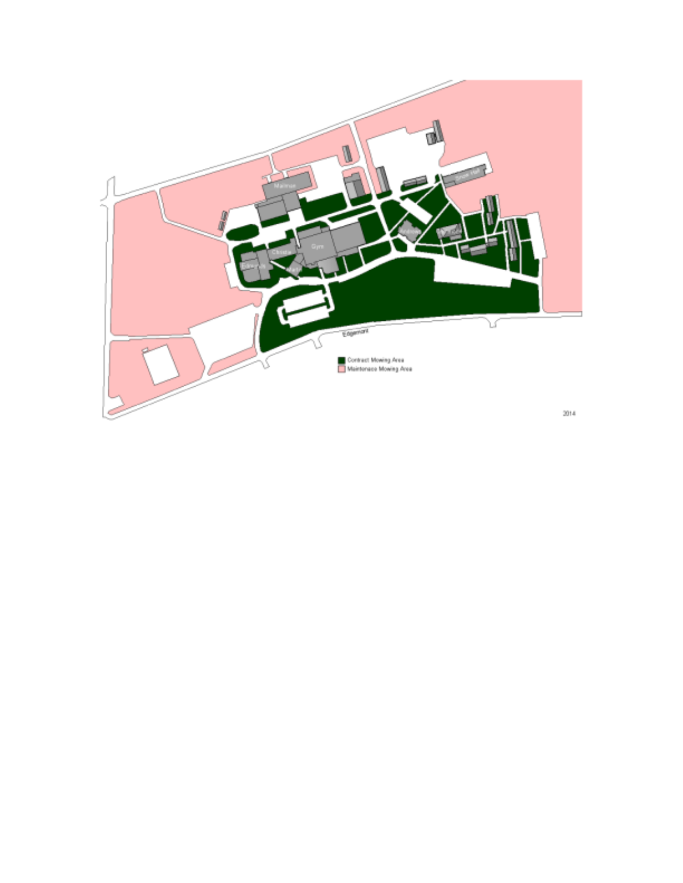